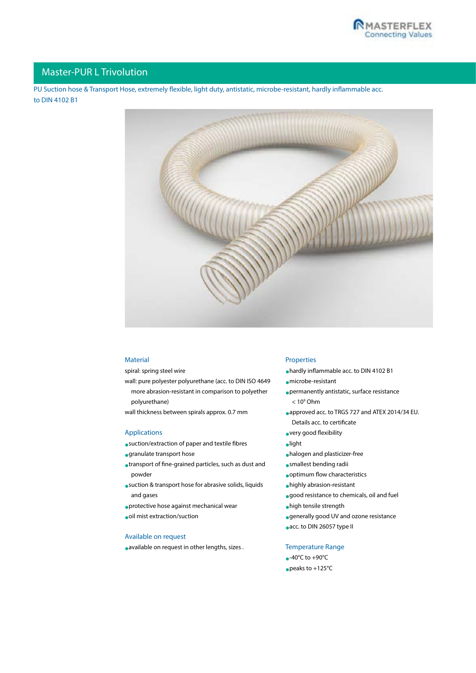

## Master-PUR L Trivolution

PU Suction hose & Transport Hose, extremely flexible, light duty, antistatic, microbe-resistant, hardly inflammable acc. to DIN 4102 B1



### Material

spiral: spring steel wire

wall: pure polyester polyurethane (acc. to DIN ISO 4649 more abrasion-resistant in comparison to polyether polyurethane)

wall thickness between spirals approx. 0.7 mm

## Applications

- •suction/extraction of paper and textile fibres
- •granulate transport hose
- •transport of fine-grained particles, such as dust and powder
- •suction & transport hose for abrasive solids, liquids and gases
- •protective hose against mechanical wear
- •oil mist extraction/suction

## Available on request

•available on request in other lengths, sizes .

#### Properties

•hardly inflammable acc. to DIN 4102 B1

•microbe-resistant

- •permanently antistatic, surface resistance  $< 10<sup>9</sup>$  Ohm
- •approved acc. to TRGS 727 and ATEX 2014/34 EU.
- [Details acc. to certificate](http://www.masterflex.de/fileadmin/user_upload/Masterflex_operativ/Zertifikate/TRGS_727_MasterflexGroup_01-2017_EN.pdf)
- •very good flexibility
- •light
- •halogen and plasticizer-free
- •smallest bending radii
- •optimum flow characteristics
- •highly abrasion-resistant
- •good resistance to chemicals, oil and fuel
- •high tensile strength
- •generally good UV and ozone resistance
- •acc. to DIN 26057 type II

Temperature Range

 $-40^{\circ}$ C to  $+90^{\circ}$ C •peaks to +125°C